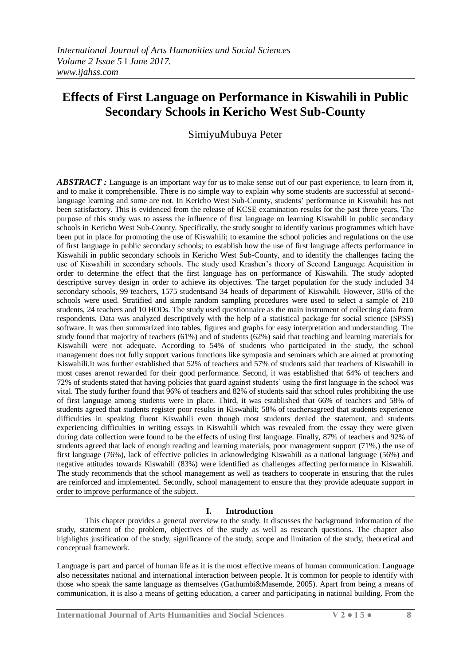# **Effects of First Language on Performance in Kiswahili in Public Secondary Schools in Kericho West Sub-County**

SimiyuMubuya Peter

*ABSTRACT* : Language is an important way for us to make sense out of our past experience, to learn from it, and to make it comprehensible. There is no simple way to explain why some students are successful at secondlanguage learning and some are not. In Kericho West Sub-County, students" performance in Kiswahili has not been satisfactory. This is evidenced from the release of KCSE examination results for the past three years. The purpose of this study was to assess the influence of first language on learning Kiswahili in public secondary schools in Kericho West Sub-County. Specifically, the study sought to identify various programmes which have been put in place for promoting the use of Kiswahili; to examine the school policies and regulations on the use of first language in public secondary schools; to establish how the use of first language affects performance in Kiswahili in public secondary schools in Kericho West Sub-County, and to identify the challenges facing the use of Kiswahili in secondary schools. The study used Krashen"s theory of Second Language Acquisition in order to determine the effect that the first language has on performance of Kiswahili. The study adopted descriptive survey design in order to achieve its objectives. The target population for the study included 34 secondary schools, 99 teachers, 1575 studentsand 34 heads of department of Kiswahili. However, 30% of the schools were used. Stratified and simple random sampling procedures were used to select a sample of 210 students, 24 teachers and 10 HODs. The study used questionnaire as the main instrument of collecting data from respondents. Data was analyzed descriptively with the help of a statistical package for social science (SPSS) software. It was then summarized into tables, figures and graphs for easy interpretation and understanding. The study found that majority of teachers (61%) and of students (62%) said that teaching and learning materials for Kiswahili were not adequate. According to 54% of students who participated in the study, the school management does not fully support various functions like symposia and seminars which are aimed at promoting Kiswahili.It was further established that 52% of teachers and 57% of students said that teachers of Kiswahili in most cases arenot rewarded for their good performance. Second, it was established that 64% of teachers and 72% of students stated that having policies that guard against students" using the first language in the school was vital. The study further found that 96% of teachers and 82% of students said that school rules prohibiting the use of first language among students were in place. Third, it was established that 66% of teachers and 58% of students agreed that students register poor results in Kiswahili; 58% of teachersagreed that students experience difficulties in speaking fluent Kiswahili even though most students denied the statement, and students experiencing difficulties in writing essays in Kiswahili which was revealed from the essay they were given during data collection were found to be the effects of using first language. Finally, 87% of teachers and 92% of students agreed that lack of enough reading and learning materials, poor management support (71%,) the use of first language (76%), lack of effective policies in acknowledging Kiswahili as a national language (56%) and negative attitudes towards Kiswahili (83%) were identified as challenges affecting performance in Kiswahili. The study recommends that the school management as well as teachers to cooperate in ensuring that the rules are reinforced and implemented. Secondly, school management to ensure that they provide adequate support in order to improve performance of the subject.

# **I. Introduction**

This chapter provides a general overview to the study. It discusses the background information of the study, statement of the problem, objectives of the study as well as research questions. The chapter also highlights justification of the study, significance of the study, scope and limitation of the study, theoretical and conceptual framework.

Language is part and parcel of human life as it is the most effective means of human communication. Language also necessitates national and international interaction between people. It is common for people to identify with those who speak the same language as themselves (Gathumbi&Masemde, 2005). Apart from being a means of communication, it is also a means of getting education, a career and participating in national building. From the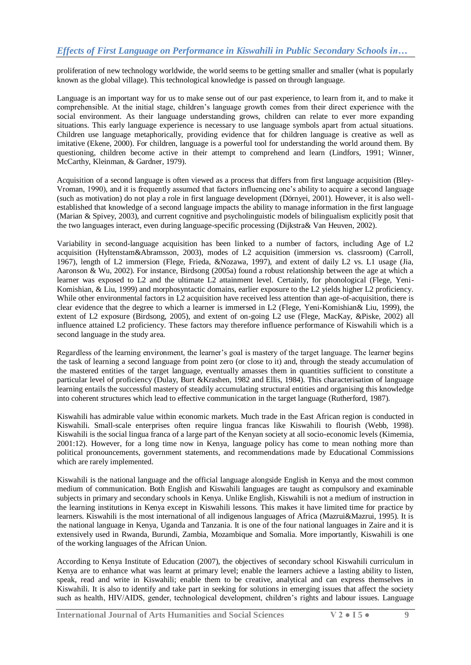proliferation of new technology worldwide, the world seems to be getting smaller and smaller (what is popularly known as the global village). This technological knowledge is passed on through language.

Language is an important way for us to make sense out of our past experience, to learn from it, and to make it comprehensible. At the initial stage, children"s language growth comes from their direct experience with the social environment. As their language understanding grows, children can relate to ever more expanding situations. This early language experience is necessary to use language symbols apart from actual situations. Children use language metaphorically, providing evidence that for children language is creative as well as imitative (Ekene, 2000). For children, language is a powerful tool for understanding the world around them. By questioning, children become active in their attempt to comprehend and learn (Lindfors, 1991; Winner, McCarthy, Kleinman, & Gardner, 1979).

Acquisition of a second language is often viewed as a process that differs from first language acquisition (Bley-Vroman, 1990), and it is frequently assumed that factors influencing one"s ability to acquire a second language (such as motivation) do not play a role in first language development (Dörnyei, 2001). However, it is also wellestablished that knowledge of a second language impacts the ability to manage information in the first language (Marian & Spivey, 2003), and current cognitive and psycholinguistic models of bilingualism explicitly posit that the two languages interact, even during language-specific processing (Dijkstra& Van Heuven, 2002).

Variability in second-language acquisition has been linked to a number of factors, including Age of L2 acquisition (Hyltenstam&Abramsson, 2003), modes of L2 acquisition (immersion vs. classroom) (Carroll, 1967), length of L2 immersion (Flege, Frieda, &Nozawa, 1997), and extent of daily L2 vs. L1 usage (Jia, Aaronson & Wu, 2002). For instance, Birdsong (2005a) found a robust relationship between the age at which a learner was exposed to L2 and the ultimate L2 attainment level. Certainly, for phonological (Flege, Yeni-Komishian, & Liu, 1999) and morphosyntactic domains, earlier exposure to the L2 yields higher L2 proficiency. While other environmental factors in L2 acquisition have received less attention than age-of-acquisition, there is clear evidence that the degree to which a learner is immersed in L2 (Flege, Yeni-Komishian& Liu, 1999), the extent of L2 exposure (Birdsong, 2005), and extent of on-going L2 use (Flege, MacKay, &Piske, 2002) all influence attained L2 proficiency. These factors may therefore influence performance of Kiswahili which is a second language in the study area.

Regardless of the learning environment, the learner"s goal is mastery of the target language. The learner begins the task of learning a second language from point zero (or close to it) and, through the steady accumulation of the mastered entities of the target language, eventually amasses them in quantities sufficient to constitute a particular level of proficiency (Dulay, Burt &Krashen, 1982 and Ellis, 1984). This characterisation of language learning entails the successful mastery of steadily accumulating structural entities and organising this knowledge into coherent structures which lead to effective communication in the target language (Rutherford, 1987).

Kiswahili has admirable value within economic markets. Much trade in the East African region is conducted in Kiswahili. Small-scale enterprises often require lingua francas like Kiswahili to flourish (Webb, 1998). Kiswahili is the social lingua franca of a large part of the Kenyan society at all socio-economic levels (Kimemia, 2001:12). However, for a long time now in Kenya, language policy has come to mean nothing more than political pronouncements, government statements, and recommendations made by Educational Commissions which are rarely implemented.

Kiswahili is the national language and the official language alongside English in Kenya and the most common medium of communication. Both English and Kiswahili languages are taught as compulsory and examinable subjects in primary and secondary schools in Kenya. Unlike English, Kiswahili is not a medium of instruction in the learning institutions in Kenya except in Kiswahili lessons. This makes it have limited time for practice by learners. Kiswahili is the most international of all indigenous languages of Africa (Mazrui&Mazrui, 1995). It is the national language in Kenya, Uganda and Tanzania. It is one of the four national languages in Zaire and it is extensively used in Rwanda, Burundi, Zambia, Mozambique and Somalia. More importantly, Kiswahili is one of the working languages of the African Union.

According to Kenya Institute of Education (2007), the objectives of secondary school Kiswahili curriculum in Kenya are to enhance what was learnt at primary level; enable the learners achieve a lasting ability to listen, speak, read and write in Kiswahili; enable them to be creative, analytical and can express themselves in Kiswahili. It is also to identify and take part in seeking for solutions in emerging issues that affect the society such as health, HIV/AIDS, gender, technological development, children's rights and labour issues. Language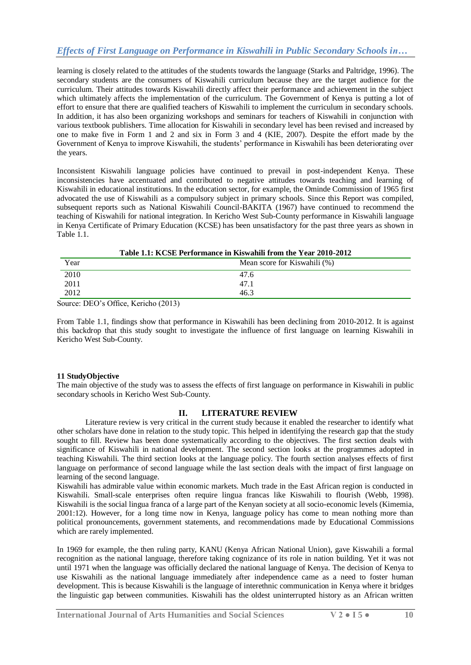learning is closely related to the attitudes of the students towards the language (Starks and Paltridge, 1996). The secondary students are the consumers of Kiswahili curriculum because they are the target audience for the curriculum. Their attitudes towards Kiswahili directly affect their performance and achievement in the subject which ultimately affects the implementation of the curriculum. The Government of Kenya is putting a lot of effort to ensure that there are qualified teachers of Kiswahili to implement the curriculum in secondary schools. In addition, it has also been organizing workshops and seminars for teachers of Kiswahili in conjunction with various textbook publishers. Time allocation for Kiswahili in secondary level has been revised and increased by one to make five in Form 1 and 2 and six in Form 3 and 4 (KIE, 2007). Despite the effort made by the Government of Kenya to improve Kiswahili, the students" performance in Kiswahili has been deteriorating over the years.

Inconsistent Kiswahili language policies have continued to prevail in post-independent Kenya. These inconsistencies have accentuated and contributed to negative attitudes towards teaching and learning of Kiswahili in educational institutions. In the education sector, for example, the Ominde Commission of 1965 first advocated the use of Kiswahili as a compulsory subject in primary schools. Since this Report was compiled, subsequent reports such as National Kiswahili Council-BAKITA (1967) have continued to recommend the teaching of Kiswahili for national integration. In Kericho West Sub-County performance in Kiswahili language in Kenya Certificate of Primary Education (KCSE) has been unsatisfactory for the past three years as shown in Table 1.1.

| Table 1.1: KCSE Performance in Kiswahili from the Year 2010-2012 |                              |  |  |
|------------------------------------------------------------------|------------------------------|--|--|
| Year                                                             | Mean score for Kiswahili (%) |  |  |
| 2010                                                             | 47.6                         |  |  |
| 2011                                                             | 47.1                         |  |  |
| 2012                                                             | 46.3                         |  |  |

**Table 1.1: KCSE Performance in Kiswahili from the Year 2010-2012**

Source: DEO"s Office, Kericho (2013)

From Table 1.1, findings show that performance in Kiswahili has been declining from 2010-2012. It is against this backdrop that this study sought to investigate the influence of first language on learning Kiswahili in Kericho West Sub-County.

## **11 StudyObjective**

The main objective of the study was to assess the effects of first language on performance in Kiswahili in public secondary schools in Kericho West Sub-County.

## **II. LITERATURE REVIEW**

Literature review is very critical in the current study because it enabled the researcher to identify what other scholars have done in relation to the study topic. This helped in identifying the research gap that the study sought to fill. Review has been done systematically according to the objectives. The first section deals with significance of Kiswahili in national development. The second section looks at the programmes adopted in teaching Kiswahili. The third section looks at the language policy. The fourth section analyses effects of first language on performance of second language while the last section deals with the impact of first language on learning of the second language.

Kiswahili has admirable value within economic markets. Much trade in the East African region is conducted in Kiswahili. Small-scale enterprises often require lingua francas like Kiswahili to flourish (Webb, 1998). Kiswahili is the social lingua franca of a large part of the Kenyan society at all socio-economic levels (Kimemia, 2001:12). However, for a long time now in Kenya, language policy has come to mean nothing more than political pronouncements, government statements, and recommendations made by Educational Commissions which are rarely implemented.

In 1969 for example, the then ruling party, KANU (Kenya African National Union), gave Kiswahili a formal recognition as the national language, therefore taking cognizance of its role in nation building. Yet it was not until 1971 when the language was officially declared the national language of Kenya. The decision of Kenya to use Kiswahili as the national language immediately after independence came as a need to foster human development. This is because Kiswahili is the language of interethnic communication in Kenya where it bridges the linguistic gap between communities. Kiswahili has the oldest uninterrupted history as an African written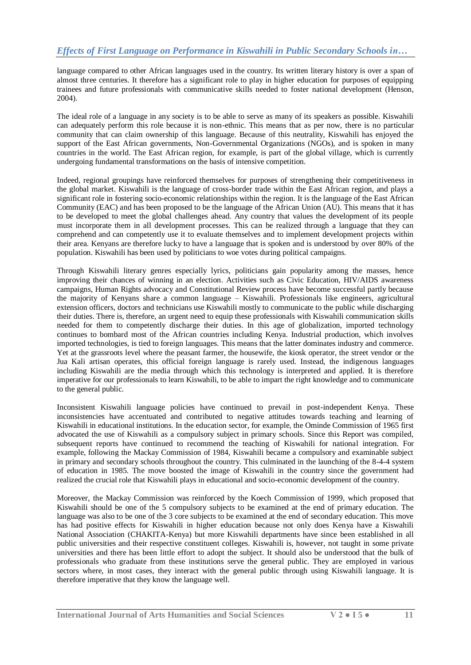language compared to other African languages used in the country. Its written literary history is over a span of almost three centuries. It therefore has a significant role to play in higher education for purposes of equipping trainees and future professionals with communicative skills needed to foster national development (Henson, 2004).

The ideal role of a language in any society is to be able to serve as many of its speakers as possible. Kiswahili can adequately perform this role because it is non-ethnic. This means that as per now, there is no particular community that can claim ownership of this language. Because of this neutrality, Kiswahili has enjoyed the support of the East African governments, Non-Governmental Organizations (NGOs), and is spoken in many countries in the world. The East African region, for example, is part of the global village, which is currently undergoing fundamental transformations on the basis of intensive competition.

Indeed, regional groupings have reinforced themselves for purposes of strengthening their competitiveness in the global market. Kiswahili is the language of cross-border trade within the East African region, and plays a significant role in fostering socio-economic relationships within the region. It is the language of the East African Community (EAC) and has been proposed to be the language of the African Union (AU). This means that it has to be developed to meet the global challenges ahead. Any country that values the development of its people must incorporate them in all development processes. This can be realized through a language that they can comprehend and can competently use it to evaluate themselves and to implement development projects within their area. Kenyans are therefore lucky to have a language that is spoken and is understood by over 80% of the population. Kiswahili has been used by politicians to woe votes during political campaigns.

Through Kiswahili literary genres especially lyrics, politicians gain popularity among the masses, hence improving their chances of winning in an election. Activities such as Civic Education, HIV/AIDS awareness campaigns, Human Rights advocacy and Constitutional Review process have become successful partly because the majority of Kenyans share a common language – Kiswahili. Professionals like engineers, agricultural extension officers, doctors and technicians use Kiswahili mostly to communicate to the public while discharging their duties. There is, therefore, an urgent need to equip these professionals with Kiswahili communication skills needed for them to competently discharge their duties. In this age of globalization, imported technology continues to bombard most of the African countries including Kenya. Industrial production, which involves imported technologies, is tied to foreign languages. This means that the latter dominates industry and commerce. Yet at the grassroots level where the peasant farmer, the housewife, the kiosk operator, the street vendor or the Jua Kali artisan operates, this official foreign language is rarely used. Instead, the indigenous languages including Kiswahili are the media through which this technology is interpreted and applied. It is therefore imperative for our professionals to learn Kiswahili, to be able to impart the right knowledge and to communicate to the general public.

Inconsistent Kiswahili language policies have continued to prevail in post-independent Kenya. These inconsistencies have accentuated and contributed to negative attitudes towards teaching and learning of Kiswahili in educational institutions. In the education sector, for example, the Ominde Commission of 1965 first advocated the use of Kiswahili as a compulsory subject in primary schools. Since this Report was compiled, subsequent reports have continued to recommend the teaching of Kiswahili for national integration. For example, following the Mackay Commission of 1984, Kiswahili became a compulsory and examinable subject in primary and secondary schools throughout the country. This culminated in the launching of the 8-4-4 system of education in 1985. The move boosted the image of Kiswahili in the country since the government had realized the crucial role that Kiswahili plays in educational and socio-economic development of the country.

Moreover, the Mackay Commission was reinforced by the Koech Commission of 1999, which proposed that Kiswahili should be one of the 5 compulsory subjects to be examined at the end of primary education. The language was also to be one of the 3 core subjects to be examined at the end of secondary education. This move has had positive effects for Kiswahili in higher education because not only does Kenya have a Kiswahili National Association (CHAKITA-Kenya) but more Kiswahili departments have since been established in all public universities and their respective constituent colleges. Kiswahili is, however, not taught in some private universities and there has been little effort to adopt the subject. It should also be understood that the bulk of professionals who graduate from these institutions serve the general public. They are employed in various sectors where, in most cases, they interact with the general public through using Kiswahili language. It is therefore imperative that they know the language well.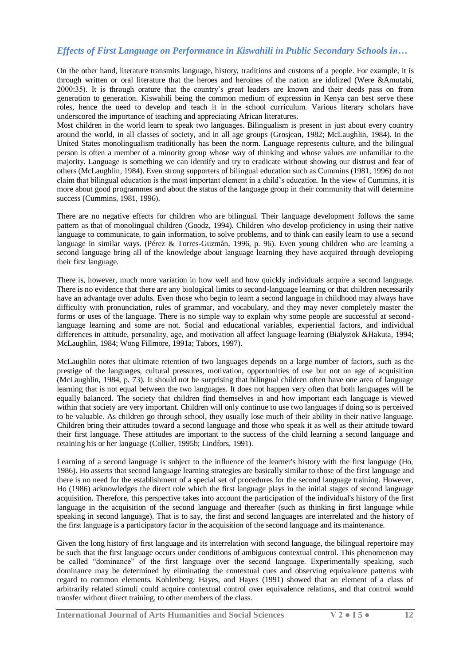On the other hand, literature transmits language, history, traditions and customs of a people. For example, it is through written or oral literature that the heroes and heroines of the nation are idolized (Were &Amutabi, 2000:35). It is through orature that the country"s great leaders are known and their deeds pass on from generation to generation. Kiswahili being the common medium of expression in Kenya can best serve these roles, hence the need to develop and teach it in the school curriculum. Various literary scholars have underscored the importance of teaching and appreciating African literatures.

Most children in the world learn to speak two languages. Bilingualism is present in just about every country around the world, in all classes of society, and in all age groups (Grosjean, 1982; McLaughlin, 1984). In the United States monolingualism traditionally has been the norm. Language represents culture, and the bilingual person is often a member of a minority group whose way of thinking and whose values are unfamiliar to the majority. Language is something we can identify and try to eradicate without showing our distrust and fear of others (McLaughlin, 1984). Even strong supporters of bilingual education such as Cummins (1981, 1996) do not claim that bilingual education is the most important element in a child"s education. In the view of Cummins, it is more about good programmes and about the status of the language group in their community that will determine success (Cummins, 1981, 1996).

There are no negative effects for children who are bilingual. Their language development follows the same pattern as that of monolingual children (Goodz, 1994). Children who develop proficiency in using their native language to communicate, to gain information, to solve problems, and to think can easily learn to use a second language in similar ways. (Pérez & Torres-Guzmán, 1996, p. 96). Even young children who are learning a second language bring all of the knowledge about language learning they have acquired through developing their first language.

There is, however, much more variation in how well and how quickly individuals acquire a second language. There is no evidence that there are any biological limits to second-language learning or that children necessarily have an advantage over adults. Even those who begin to learn a second language in childhood may always have difficulty with pronunciation, rules of grammar, and vocabulary, and they may never completely master the forms or uses of the language. There is no simple way to explain why some people are successful at secondlanguage learning and some are not. Social and educational variables, experiential factors, and individual differences in attitude, personality, age, and motivation all affect language learning (Bialystok &Hakuta, 1994; McLaughlin, 1984; Wong Fillmore, 1991a; Tabors, 1997).

McLaughlin notes that ultimate retention of two languages depends on a large number of factors, such as the prestige of the languages, cultural pressures, motivation, opportunities of use but not on age of acquisition (McLaughlin, 1984, p. 73). It should not be surprising that bilingual children often have one area of language learning that is not equal between the two languages. It does not happen very often that both languages will be equally balanced. The society that children find themselves in and how important each language is viewed within that society are very important. Children will only continue to use two languages if doing so is perceived to be valuable. As children go through school, they usually lose much of their ability in their native language. Children bring their attitudes toward a second language and those who speak it as well as their attitude toward their first language. These attitudes are important to the success of the child learning a second language and retaining his or her language (Collier, 1995b; Lindfors, 1991).

Learning of a second language is subject to the influence of the learner's history with the first language (Ho, 1986). Ho asserts that second language learning strategies are basically similar to those of the first language and there is no need for the establishment of a special set of procedures for the second language training. However, Ho (1986) acknowledges the direct role which the first language plays in the initial stages of second language acquisition. Therefore, this perspective takes into account the participation of the individual's history of the first language in the acquisition of the second language and thereafter (such as thinking in first language while speaking in second language). That is to say, the first and second languages are interrelated and the history of the first language is a participatory factor in the acquisition of the second language and its maintenance.

Given the long history of first language and its interrelation with second language, the bilingual repertoire may be such that the first language occurs under conditions of ambiguous contextual control. This phenomenon may be called "dominance" of the first language over the second language. Experimentally speaking, such dominance may be determined by eliminating the contextual cues and observing equivalence patterns with regard to common elements. Kohlenberg, Hayes, and Hayes (1991) showed that an element of a class of arbitrarily related stimuli could acquire contextual control over equivalence relations, and that control would transfer without direct training, to other members of the class.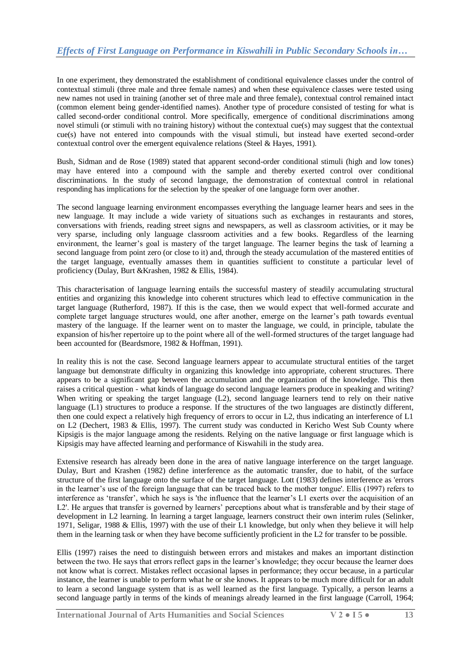In one experiment, they demonstrated the establishment of conditional equivalence classes under the control of contextual stimuli (three male and three female names) and when these equivalence classes were tested using new names not used in training (another set of three male and three female), contextual control remained intact (common element being gender-identified names). Another type of procedure consisted of testing for what is called second-order conditional control. More specifically, emergence of conditional discriminations among novel stimuli (or stimuli with no training history) without the contextual cue(s) may suggest that the contextual cue(s) have not entered into compounds with the visual stimuli, but instead have exerted second-order contextual control over the emergent equivalence relations (Steel & Hayes, 1991).

Bush, Sidman and de Rose (1989) stated that apparent second-order conditional stimuli (high and low tones) may have entered into a compound with the sample and thereby exerted control over conditional discriminations. In the study of second language, the demonstration of contextual control in relational responding has implications for the selection by the speaker of one language form over another.

The second language learning environment encompasses everything the language learner hears and sees in the new language. It may include a wide variety of situations such as exchanges in restaurants and stores, conversations with friends, reading street signs and newspapers, as well as classroom activities, or it may be very sparse, including only language classroom activities and a few books. Regardless of the learning environment, the learner"s goal is mastery of the target language. The learner begins the task of learning a second language from point zero (or close to it) and, through the steady accumulation of the mastered entities of the target language, eventually amasses them in quantities sufficient to constitute a particular level of proficiency (Dulay, Burt &Krashen, 1982 & Ellis, 1984).

This characterisation of language learning entails the successful mastery of steadily accumulating structural entities and organizing this knowledge into coherent structures which lead to effective communication in the target language (Rutherford, 1987). If this is the case, then we would expect that well-formed accurate and complete target language structures would, one after another, emerge on the learner's path towards eventual mastery of the language. If the learner went on to master the language, we could, in principle, tabulate the expansion of his/her repertoire up to the point where all of the well-formed structures of the target language had been accounted for (Beardsmore, 1982 & Hoffman, 1991).

In reality this is not the case. Second language learners appear to accumulate structural entities of the target language but demonstrate difficulty in organizing this knowledge into appropriate, coherent structures. There appears to be a significant gap between the accumulation and the organization of the knowledge. This then raises a critical question - what kinds of language do second language learners produce in speaking and writing? When writing or speaking the target language (L2), second language learners tend to rely on their native language (L1) structures to produce a response. If the structures of the two languages are distinctly different, then one could expect a relatively high frequency of errors to occur in L2, thus indicating an interference of L1 on L2 (Dechert, 1983 & Ellis, 1997). The current study was conducted in Kericho West Sub County where Kipsigis is the major language among the residents. Relying on the native language or first language which is Kipsigis may have affected learning and performance of Kiswahili in the study area.

Extensive research has already been done in the area of native language interference on the target language. Dulay, Burt and Krashen (1982) define interference as the automatic transfer, due to habit, of the surface structure of the first language onto the surface of the target language. Lott (1983) defines interference as 'errors in the learner"s use of the foreign language that can be traced back to the mother tongue'. Ellis (1997) refers to interference as "transfer", which he says is 'the influence that the learner"s L1 exerts over the acquisition of an L2'. He argues that transfer is governed by learners' perceptions about what is transferable and by their stage of development in L2 learning. In learning a target language, learners construct their own interim rules (Selinker, 1971, Seligar, 1988 & Ellis, 1997) with the use of their L1 knowledge, but only when they believe it will help them in the learning task or when they have become sufficiently proficient in the L2 for transfer to be possible.

Ellis (1997) raises the need to distinguish between errors and mistakes and makes an important distinction between the two. He says that errors reflect gaps in the learner's knowledge; they occur because the learner does not know what is correct. Mistakes reflect occasional lapses in performance; they occur because, in a particular instance, the learner is unable to perform what he or she knows. It appears to be much more difficult for an adult to learn a second language system that is as well learned as the first language. Typically, a person learns a second language partly in terms of the kinds of meanings already learned in the first language (Carroll, 1964;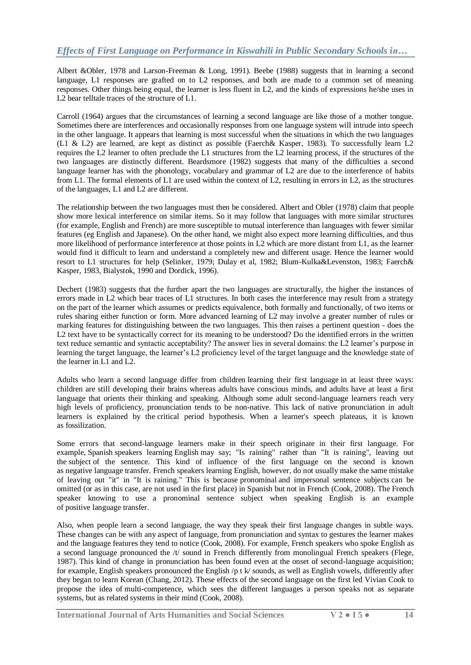Albert &Obler, 1978 and Larson-Freeman & Long, 1991). Beebe (1988) suggests that in learning a second language, L1 responses are grafted on to L2 responses, and both are made to a common set of meaning responses. Other things being equal, the learner is less fluent in L2, and the kinds of expressions he/she uses in L2 bear telltale traces of the structure of L1.

Carroll (1964) argues that the circumstances of learning a second language are like those of a mother tongue. Sometimes there are interferences and occasionally responses from one language system will intrude into speech in the other language. It appears that learning is most successful when the situations in which the two languages (L1 & L2) are learned, are kept as distinct as possible (Faerch& Kasper, 1983). To successfully learn L2 requires the L2 learner to often preclude the L1 structures from the L2 learning process, if the structures of the two languages are distinctly different. Beardsmore (1982) suggests that many of the difficulties a second language learner has with the phonology, vocabulary and grammar of L2 are due to the interference of habits from L1. The formal elements of L1 are used within the context of L2, resulting in errors in L2, as the structures of the languages, L1 and L2 are different.

The relationship between the two languages must then be considered. Albert and Obler (1978) claim that people show more lexical interference on similar items. So it may follow that languages with more similar structures (for example, English and French) are more susceptible to mutual interference than languages with fewer similar features (eg English and Japanese). On the other hand, we might also expect more learning difficulties, and thus more likelihood of performance interference at those points in L2 which are more distant from L1, as the learner would find it difficult to learn and understand a completely new and different usage. Hence the learner would resort to L1 structures for help (Selinker, 1979; Dulay et al, 1982; Blum-Kulka&Levenston, 1983; Faerch& Kasper, 1983, Bialystok, 1990 and Dordick, 1996).

Dechert (1983) suggests that the further apart the two languages are structurally, the higher the instances of errors made in L2 which bear traces of L1 structures. In both cases the interference may result from a strategy on the part of the learner which assumes or predicts equivalence, both formally and functionally, of two items or rules sharing either function or form. More advanced learning of L2 may involve a greater number of rules or marking features for distinguishing between the two languages. This then raises a pertinent question - does the L2 text have to be syntactically correct for its meaning to be understood? Do the identified errors in the written text reduce semantic and syntactic acceptability? The answer lies in several domains: the L2 learner"s purpose in learning the target language, the learner"s L2 proficiency level of the target language and the knowledge state of the learner in L1 and L2.

Adults who learn a second language differ from children learning their first language in at least three ways: children are still developing their brains whereas adults have conscious minds, and adults have at least a first language that orients their thinking and speaking. Although some adult second-language learners reach very high levels of proficiency, pronunciation tends to be non-native. This lack of native pronunciation in adult learners is explained by the critical period hypothesis. When a learner's speech plateaus, it is known as fossilization.

Some errors that second-language learners make in their speech originate in their first language. For example, Spanish speakers learning English may say; "Is raining" rather than "It is raining", leaving out the subject of the sentence. This kind of influence of the first language on the second is known as negative language transfer. French speakers learning English, however, do not usually make the same mistake of leaving out "it" in "It is raining." This is because pronominal and impersonal sentence subjects can be omitted (or as in this case, are not used in the first place) in Spanish but not in French (Cook, 2008). The French speaker knowing to use a pronominal sentence subject when speaking English is an example of positive language transfer.

Also, when people learn a second language, the way they speak their first language changes in subtle ways. These changes can be with any aspect of language, from pronunciation and syntax to gestures the learner makes and the language features they tend to notice (Cook, 2008). For example, French speakers who spoke English as a second language pronounced the /t/ sound in French differently from monolingual French speakers (Flege, 1987). This kind of change in pronunciation has been found even at the onset of second-language acquisition; for example, English speakers pronounced the English  $/p$  t k/ sounds, as well as English vowels, differently after they began to learn Korean (Chang, 2012). These effects of the second language on the first led Vivian Cook to propose the idea of multi-competence, which sees the different languages a person speaks not as separate systems, but as related systems in their mind (Cook, 2008).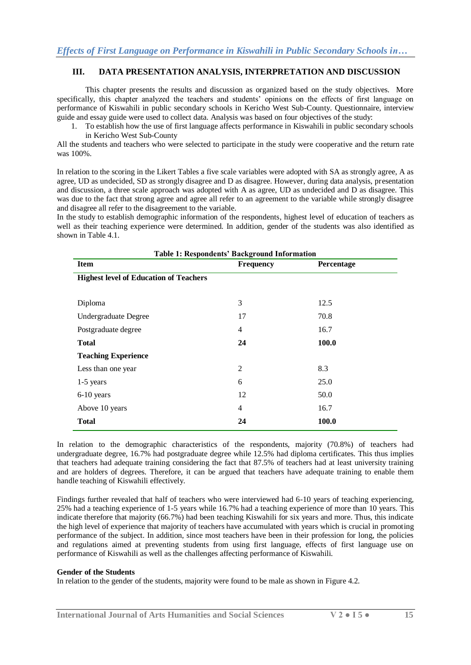# **III. DATA PRESENTATION ANALYSIS, INTERPRETATION AND DISCUSSION**

This chapter presents the results and discussion as organized based on the study objectives. More specifically, this chapter analyzed the teachers and students' opinions on the effects of first language on performance of Kiswahili in public secondary schools in Kericho West Sub-County. Questionnaire, interview guide and essay guide were used to collect data. Analysis was based on four objectives of the study:

1. To establish how the use of first language affects performance in Kiswahili in public secondary schools in Kericho West Sub-County

All the students and teachers who were selected to participate in the study were cooperative and the return rate was 100%.

In relation to the scoring in the Likert Tables a five scale variables were adopted with SA as strongly agree, A as agree, UD as undecided, SD as strongly disagree and D as disagree. However, during data analysis, presentation and discussion, a three scale approach was adopted with A as agree, UD as undecided and D as disagree. This was due to the fact that strong agree and agree all refer to an agreement to the variable while strongly disagree and disagree all refer to the disagreement to the variable.

In the study to establish demographic information of the respondents, highest level of education of teachers as well as their teaching experience were determined. In addition, gender of the students was also identified as shown in Table 4.1.

| <b>Table 1: Respondents' Background Information</b> |                  |            |  |  |  |  |  |
|-----------------------------------------------------|------------------|------------|--|--|--|--|--|
| <b>Item</b>                                         | <b>Frequency</b> | Percentage |  |  |  |  |  |
| <b>Highest level of Education of Teachers</b>       |                  |            |  |  |  |  |  |
|                                                     |                  |            |  |  |  |  |  |
| Diploma                                             | 3                | 12.5       |  |  |  |  |  |
| Undergraduate Degree                                | 17               | 70.8       |  |  |  |  |  |
| Postgraduate degree                                 | 4                | 16.7       |  |  |  |  |  |
| <b>Total</b>                                        | 24               | 100.0      |  |  |  |  |  |
| <b>Teaching Experience</b>                          |                  |            |  |  |  |  |  |
| Less than one year                                  | $\overline{2}$   | 8.3        |  |  |  |  |  |
| $1-5$ years                                         | 6                | 25.0       |  |  |  |  |  |
| 6-10 years                                          | 12               | 50.0       |  |  |  |  |  |
| Above 10 years                                      | 4                | 16.7       |  |  |  |  |  |
| <b>Total</b>                                        | 24               | 100.0      |  |  |  |  |  |

In relation to the demographic characteristics of the respondents, majority (70.8%) of teachers had undergraduate degree, 16.7% had postgraduate degree while 12.5% had diploma certificates. This thus implies that teachers had adequate training considering the fact that 87.5% of teachers had at least university training and are holders of degrees. Therefore, it can be argued that teachers have adequate training to enable them handle teaching of Kiswahili effectively.

Findings further revealed that half of teachers who were interviewed had 6-10 years of teaching experiencing, 25% had a teaching experience of 1-5 years while 16.7% had a teaching experience of more than 10 years. This indicate therefore that majority (66.7%) had been teaching Kiswahili for six years and more. Thus, this indicate the high level of experience that majority of teachers have accumulated with years which is crucial in promoting performance of the subject. In addition, since most teachers have been in their profession for long, the policies and regulations aimed at preventing students from using first language, effects of first language use on performance of Kiswahili as well as the challenges affecting performance of Kiswahili.

#### **Gender of the Students**

In relation to the gender of the students, majority were found to be male as shown in Figure 4.2.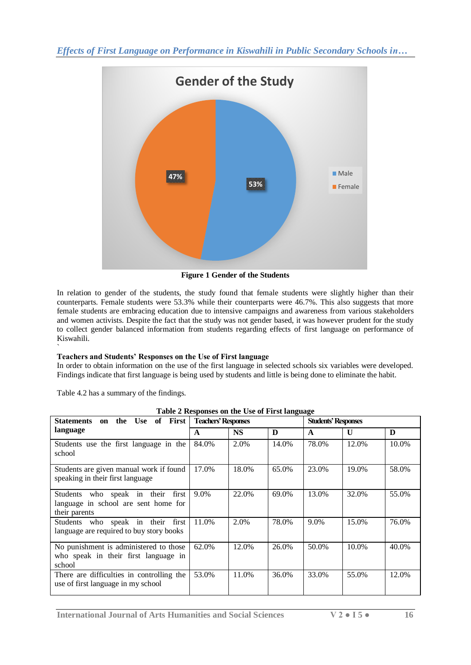

**Figure 1 Gender of the Students**

In relation to gender of the students, the study found that female students were slightly higher than their counterparts. Female students were 53.3% while their counterparts were 46.7%. This also suggests that more female students are embracing education due to intensive campaigns and awareness from various stakeholders and women activists. Despite the fact that the study was not gender based, it was however prudent for the study to collect gender balanced information from students regarding effects of first language on performance of Kiswahili.

#### ` **Teachers and Students' Responses on the Use of First language**

In order to obtain information on the use of the first language in selected schools six variables were developed. Findings indicate that first language is being used by students and little is being done to eliminate the habit.

Table 4.2 has a summary of the findings.

| the Use of First<br><b>Statements</b><br>on                                                   | o<br><b>Teachers' Responses</b> |           |       | <b>Students' Responses</b> |              |       |
|-----------------------------------------------------------------------------------------------|---------------------------------|-----------|-------|----------------------------|--------------|-------|
| language                                                                                      | A                               | <b>NS</b> | D     | $\mathbf{A}$               | $\mathbf{U}$ | D     |
| Students use the first language in the<br>school                                              | 84.0%                           | 2.0%      | 14.0% | 78.0%                      | 12.0%        | 10.0% |
| Students are given manual work if found<br>speaking in their first language                   | 17.0%                           | 18.0%     | 65.0% | 23.0%                      | 19.0%        | 58.0% |
| Students who speak in their<br>first<br>language in school are sent home for<br>their parents | 9.0%                            | 22.0%     | 69.0% | 13.0%                      | 32.0%        | 55.0% |
| first<br>Students who speak in their<br>language are required to buy story books              | 11.0%                           | 2.0%      | 78.0% | 9.0%                       | 15.0%        | 76.0% |
| No punishment is administered to those<br>who speak in their first language in<br>school      | 62.0%                           | 12.0%     | 26.0% | 50.0%                      | $10.0\%$     | 40.0% |
| There are difficulties in controlling the<br>use of first language in my school               | 53.0%                           | 11.0%     | 36.0% | 33.0%                      | 55.0%        | 12.0% |

|  |  | Table 2 Responses on the Use of First language |
|--|--|------------------------------------------------|
|  |  |                                                |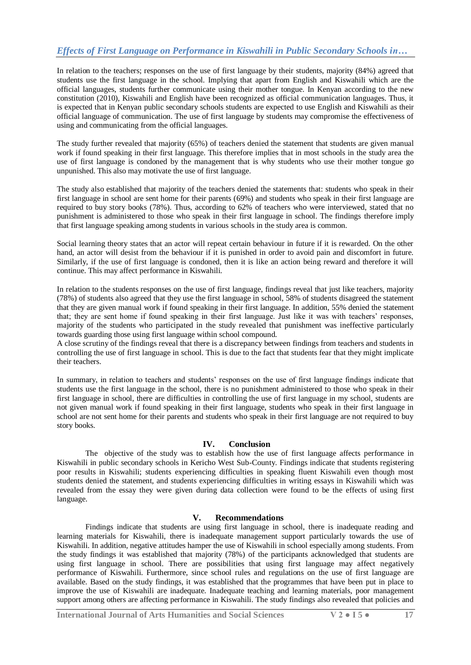In relation to the teachers; responses on the use of first language by their students, majority (84%) agreed that students use the first language in the school. Implying that apart from English and Kiswahili which are the official languages, students further communicate using their mother tongue. In Kenyan according to the new constitution (2010), Kiswahili and English have been recognized as official communication languages. Thus, it is expected that in Kenyan public secondary schools students are expected to use English and Kiswahili as their official language of communication. The use of first language by students may compromise the effectiveness of using and communicating from the official languages.

The study further revealed that majority (65%) of teachers denied the statement that students are given manual work if found speaking in their first language. This therefore implies that in most schools in the study area the use of first language is condoned by the management that is why students who use their mother tongue go unpunished. This also may motivate the use of first language.

The study also established that majority of the teachers denied the statements that: students who speak in their first language in school are sent home for their parents (69%) and students who speak in their first language are required to buy story books (78%). Thus, according to 62% of teachers who were interviewed, stated that no punishment is administered to those who speak in their first language in school. The findings therefore imply that first language speaking among students in various schools in the study area is common.

Social learning theory states that an actor will repeat certain behaviour in future if it is rewarded. On the other hand, an actor will desist from the behaviour if it is punished in order to avoid pain and discomfort in future. Similarly, if the use of first language is condoned, then it is like an action being reward and therefore it will continue. This may affect performance in Kiswahili.

In relation to the students responses on the use of first language, findings reveal that just like teachers, majority (78%) of students also agreed that they use the first language in school, 58% of students disagreed the statement that they are given manual work if found speaking in their first language. In addition, 55% denied the statement that; they are sent home if found speaking in their first language. Just like it was with teachers' responses, majority of the students who participated in the study revealed that punishment was ineffective particularly towards guarding those using first language within school compound.

A close scrutiny of the findings reveal that there is a discrepancy between findings from teachers and students in controlling the use of first language in school. This is due to the fact that students fear that they might implicate their teachers.

In summary, in relation to teachers and students' responses on the use of first language findings indicate that students use the first language in the school, there is no punishment administered to those who speak in their first language in school, there are difficulties in controlling the use of first language in my school, students are not given manual work if found speaking in their first language, students who speak in their first language in school are not sent home for their parents and students who speak in their first language are not required to buy story books.

### **IV. Conclusion**

The objective of the study was to establish how the use of first language affects performance in Kiswahili in public secondary schools in Kericho West Sub-County. Findings indicate that students registering poor results in Kiswahili; students experiencing difficulties in speaking fluent Kiswahili even though most students denied the statement, and students experiencing difficulties in writing essays in Kiswahili which was revealed from the essay they were given during data collection were found to be the effects of using first language.

## **V. Recommendations**

Findings indicate that students are using first language in school, there is inadequate reading and learning materials for Kiswahili, there is inadequate management support particularly towards the use of Kiswahili. In addition, negative attitudes hamper the use of Kiswahili in school especially among students. From the study findings it was established that majority (78%) of the participants acknowledged that students are using first language in school. There are possibilities that using first language may affect negatively performance of Kiswahili. Furthermore, since school rules and regulations on the use of first language are available. Based on the study findings, it was established that the programmes that have been put in place to improve the use of Kiswahili are inadequate. Inadequate teaching and learning materials, poor management support among others are affecting performance in Kiswahili. The study findings also revealed that policies and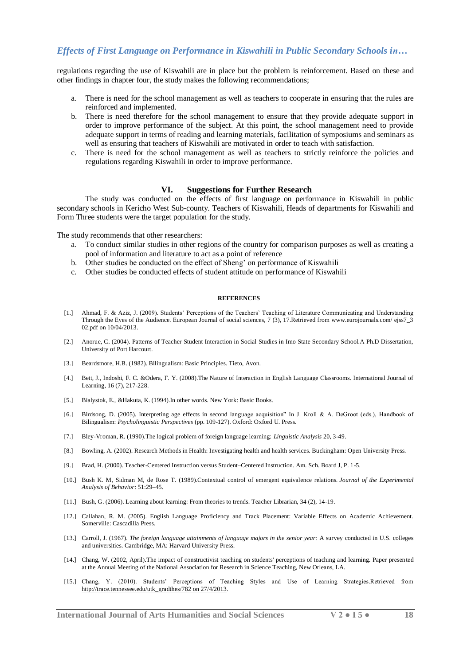regulations regarding the use of Kiswahili are in place but the problem is reinforcement. Based on these and other findings in chapter four, the study makes the following recommendations;

- a. There is need for the school management as well as teachers to cooperate in ensuring that the rules are reinforced and implemented.
- b. There is need therefore for the school management to ensure that they provide adequate support in order to improve performance of the subject. At this point, the school management need to provide adequate support in terms of reading and learning materials, facilitation of symposiums and seminars as well as ensuring that teachers of Kiswahili are motivated in order to teach with satisfaction.
- c. There is need for the school management as well as teachers to strictly reinforce the policies and regulations regarding Kiswahili in order to improve performance.

#### **VI. Suggestions for Further Research**

The study was conducted on the effects of first language on performance in Kiswahili in public secondary schools in Kericho West Sub-county. Teachers of Kiswahili, Heads of departments for Kiswahili and Form Three students were the target population for the study.

The study recommends that other researchers:

- a. To conduct similar studies in other regions of the country for comparison purposes as well as creating a pool of information and literature to act as a point of reference
- b. Other studies be conducted on the effect of Sheng" on performance of Kiswahili
- c. Other studies be conducted effects of student attitude on performance of Kiswahili

#### **REFERENCES**

- [1.] Ahmad, F. & Aziz, J. (2009). Students" Perceptions of the Teachers" Teaching of Literature Communicating and Understanding Through the Eyes of the Audience. European Journal of social sciences, 7 (3), 17.Retrieved from www.eurojournals.com/ ejss7\_3 02.pdf on 10/04/2013.
- [2.] Anorue, C. (2004). Patterns of Teacher Student Interaction in Social Studies in Imo State Secondary School.A Ph.D Dissertation, University of Port Harcourt.
- [3.] Beardsmore, H.B. (1982). Bilingualism: Basic Principles. Tieto, Avon.
- [4.] Bett, J., Indoshi, F. C. &Odera, F. Y. (2008).The Nature of Interaction in English Language Classrooms. International Journal of Learning, 16 (7), 217-228.
- [5.] Bialystok, E., &Hakuta, K. (1994).In other words. New York: Basic Books.
- [6.] Birdsong, D. (2005). Interpreting age effects in second language acquisition" In J. Kroll & A. DeGroot (eds.), Handbook of Bilingualism: *Psycholinguistic Perspectives* (pp. 109-127). Oxford: Oxford U. Press.
- [7.] Bley-Vroman, R. (1990).The logical problem of foreign language learning: *Linguistic Analysis* 20, 3-49.
- [8.] Bowling, A. (2002). Research Methods in Health: Investigating health and health services. Buckingham: Open University Press.
- [9.] Brad, H. (2000). Teacher-Centered Instruction versus Student–Centered Instruction. Am. Sch. Board J, P. 1-5.
- [10.] Bush K. M, Sidman M, de Rose T. (1989).Contextual control of emergent equivalence relations. *Journal of the Experimental Analysis of Behavior*: 51:29–45.
- [11.] Bush, G. (2006). Learning about learning: From theories to trends. Teacher Librarian, 34 (2), 14-19.
- [12.] Callahan, R. M. (2005). English Language Proficiency and Track Placement: Variable Effects on Academic Achievement. Somerville: Cascadilla Press.
- [13.] Carroll, J. (1967). *The foreign language attainments of language majors in the senior year*: A survey conducted in U.S. colleges and universities. Cambridge, MA: Harvard University Press.
- [14.] Chang, W. (2002, April).The impact of constructivist teaching on students' perceptions of teaching and learning. Paper presented at the Annual Meeting of the National Association for Research in Science Teaching, New Orleans, LA.
- [15.] Chang, Y. (2010). Students" Perceptions of Teaching Styles and Use of Learning Strategies.Retrieved from [http://trace.tennessee.edu/utk\\_gradthes/782 on 27/4/2013.](http://trace.tennessee.edu/utk_gradthes/782%20on%2027/4/2013)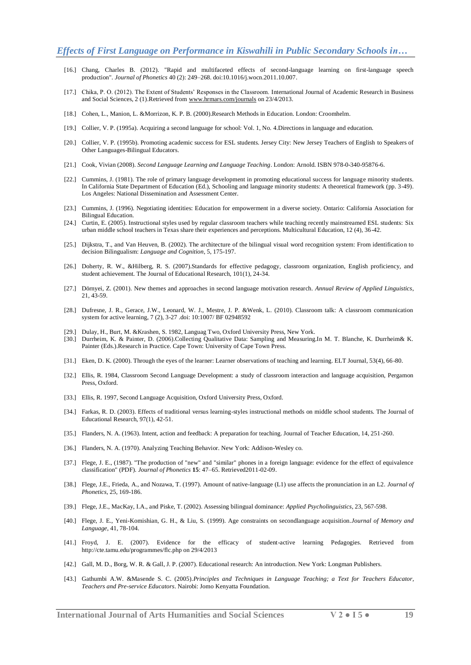- [16.] Chang, Charles B. (2012). "Rapid and multifaceted effects of second-language learning on first-language speech production". *Journal of Phonetics* 40 (2): 249–268. [doi:](https://en.wikipedia.org/wiki/Digital_object_identifier)[10.1016/j.wocn.2011.10.007.](https://dx.doi.org/10.1016%2Fj.wocn.2011.10.007)
- [17.] Chika, P. O. (2012). The Extent of Students" Responses in the Classroom. International Journal of Academic Research in Business and Social Sciences, 2 (1).Retrieved from [www.hrmars.com/journals](http://www.hrmars.com/journals) on 23/4/2013.
- [18.] Cohen, L., Manion, L. &Morrizon, K. P. B. (2000).Research Methods in Education. London: Croomhelm.
- [19.] Collier, V. P. (1995a). Acquiring a second language for school: Vol. 1, No. 4.Directions in language and education.
- [20.] Collier, V. P. (1995b). Promoting academic success for ESL students. Jersey City: New Jersey Teachers of English to Speakers of Other Languages-Bilingual Educators.
- [21.] Cook, Vivian (2008). *Second Language Learning and Language Teaching*. London: Arnold. [ISBN](https://en.wikipedia.org/wiki/International_Standard_Book_Number) [978-0-340-95876-6.](https://en.wikipedia.org/wiki/Special:BookSources/978-0-340-95876-6)
- [22.] Cummins, J. (1981). The role of primary language development in promoting educational success for language minority students. In California State Department of Education (Ed.), Schooling and language minority students: A theoretical framework (pp. 3-49). Los Angeles: National Dissemination and Assessment Center.
- [23.] Cummins, J. (1996). Negotiating identities: Education for empowerment in a diverse society. Ontario: California Association for Bilingual Education.
- [24.] Curtin, E. (2005). Instructional styles used by regular classroom teachers while teaching recently mainstreamed ESL students: Six urban middle school teachers in Texas share their experiences and perceptions. Multicultural Education, 12 (4), 36-42.
- [25.] Dijkstra, T., and Van Heuven, B. (2002). The architecture of the bilingual visual word recognition system: From identification to decision Bilingualism: *Language and Cognition*, 5, 175-197.
- [26.] Doherty, R. W., &Hilberg, R. S. (2007).Standards for effective pedagogy, classroom organization, English proficiency, and student achievement. The Journal of Educational Research, 101(1), 24-34.
- [27.] Dörnyei, Z. (2001). New themes and approaches in second language motivation research. *Annual Review of Applied Linguistics*, 21, 43-59.
- [28.] Dufresne, J. R., Gerace, J.W., Leonard, W. J., Mestre, J. P. &Wenk, L. (2010). Classroom talk: A classroom communication system for active learning, 7 (2), 3-27 .doi: 10:1007/ BF 02948592
- [29.] Dulay, H., Burt, M. &Krashen, S. 1982, Languag Two, Oxford University Press, New York.
- [30.] Durrheim, K. & Painter, D. (2006).Collecting Qualitative Data: Sampling and Measuring.In M. T. Blanche, K. Durrheim& K. Painter (Eds.).Research in Practice. Cape Town: University of Cape Town Press.
- [31.] Eken, D. K. (2000). Through the eyes of the learner: Learner observations of teaching and learning. ELT Journal, 53(4), 66-80.
- [32.] Ellis, R. 1984, Classroom Second Language Development: a study of classroom interaction and language acquisition, Pergamon Press, Oxford.
- [33.] Ellis, R. 1997, Second Language Acquisition, Oxford University Press, Oxford.
- [34.] Farkas, R. D. (2003). Effects of traditional versus learning-styles instructional methods on middle school students. The Journal of Educational Research, 97(1), 42-51.
- [35.] Flanders, N. A. (1963). Intent, action and feedback: A preparation for teaching. Journal of Teacher Education, 14, 251-260.
- [36.] Flanders, N. A. (1970). Analyzing Teaching Behavior. New York: Addison-Wesley co.
- [37.] Flege, J. E., (1987). "The production of "new" and "similar" phones in a foreign language: evidence for the effect of equivalence classification" (PDF). *Journal of Phonetics* **15**: 47–65. Retrieved2011-02-09.
- [38.] Flege, J.E., Frieda, A., and Nozawa, T. (1997). Amount of native-language (L1) use affects the pronunciation in an L2. *Journal of Phonetics*, 25, 169-186.
- [39.] Flege, J.E., MacKay, I.A., and Piske, T. (2002). Assessing bilingual dominance: *Applied Psycholinguistics*, 23, 567-598.
- [40.] Flege, J. E., Yeni-Komishian, G. H., & Liu, S. (1999). Age constraints on secondlanguage acquisition.*Journal of Memory and Language*, 41, 78-104.
- [41.] Froyd, J. E. (2007). Evidence for the efficacy of student-active learning Pedagogies. Retrieved from http://cte.tamu.edu/programmes/flc.php on 29/4/2013
- [42.] Gall, M. D., Borg, W. R. & Gall, J. P. (2007). Educational research: An introduction. New York: Longman Publishers.
- [43.] Gathumbi A.W. &Masende S. C. (2005).*Principles and Techniques in Language Teaching; a Text for Teachers Educator, Teachers and Pre-service Educators*. Nairobi: Jomo Kenyatta Foundation.